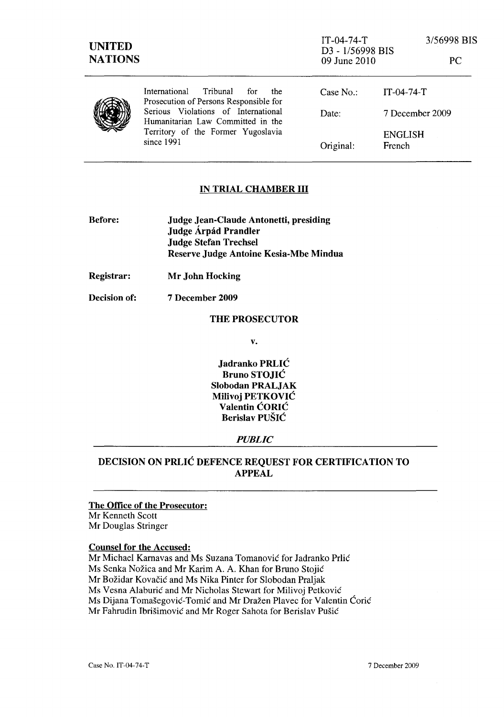| <b>UNITED</b><br><b>NATIONS</b> |                                                                                                                              | $IT-04-74-T$<br>D3 - 1/56998 BIS<br>09 June 2010 |                          | 3/56998 BIS<br>PC |
|---------------------------------|------------------------------------------------------------------------------------------------------------------------------|--------------------------------------------------|--------------------------|-------------------|
|                                 | Tribunal<br><b>International</b><br>for<br>the<br>Prosecution of Persons Responsible for                                     | Case $No.$ :                                     | $IT-04-74-T$             |                   |
|                                 | Serious Violations of International<br>Humanitarian Law Committed in the<br>Territory of the Former Yugoslavia<br>since 1991 | Date:                                            | 7 December 2009          |                   |
|                                 |                                                                                                                              | Original:                                        | <b>ENGLISH</b><br>French |                   |

# IN TRIAL CHAMBER **III**

| <b>Before:</b> | Judge Jean-Claude Antonetti, presiding |  |  |
|----------------|----------------------------------------|--|--|
|                | Judge Árpád Prandler                   |  |  |
|                | <b>Judge Stefan Trechsel</b>           |  |  |
|                | Reserve Judge Antoine Kesia-Mbe Mindua |  |  |

Registrar: Mr John Hocking

Decision of: 7 December 2009

# THE PROSECUTOR

v.

Jadranko PRLIC Bruno STOJIC Slobodan PRALJAK Milivoj PETKOVIC Valentin CORIC Berislav PUŠIĆ

# *PUBLIC*

# DECISION ON PRLIC DEFENCE REQUEST FOR CERTIFICATION TO APPEAL

### The Office of the Prosecutor:

Mr Kenneth Scott Mr Douglas Stringer

#### Counsel for the Accused:

Mr Michael Kamavas and Ms Suzana Tomanovic for ladranko Prlic Ms Senka Nožica and Mr Karim A. A. Khan for Bruno Stojić Mr Božidar Kovačić and Ms Nika Pinter for Slobodan Praljak Ms Vesna Alaburić and Mr Nicholas Stewart for Milivoj Petković Ms Dijana Tomašegović-Tomić and Mr Dražen Plavec for Valentin Ćorić Mr Fahrudin Ibrišimović and Mr Roger Sahota for Berislav Pušić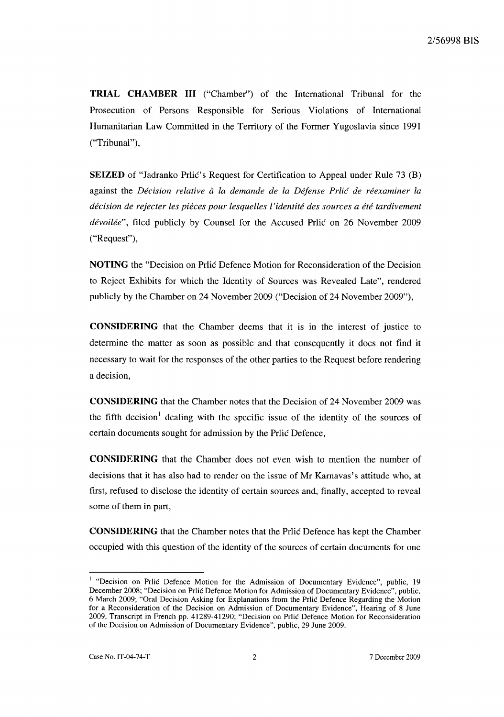**TRIAL CHAMBER III** ("Chamber") of the International Tribunal for the Prosecution of Persons Responsible for Serious Violations of International Humanitarian Law Committed in the Territory of the Former Yugoslavia since 1991 ("Tribunal"),

**SEIZED** of "Jadranko Prlic's Request for Certification to Appeal under Rule 73 (B) against the *Decision relative a la demande de la Defense Prlic de reexaminer la decision de rejecter les pieces pour lesqueUes l'identite des sources a ere tardivement dévoilée"*, filed publicly by Counsel for the Accused Prlic on 26 November 2009 ("Request"),

**NOTING** the "Decision on Prlic Defence Motion for Reconsideration of the Decision to Reject Exhibits for which the Identity of Sources was Revealed Late", rendered publicly by the Chamber on 24 November 2009 ("Decision of 24 November 2009"),

**CONSIDERING** that the Chamber deems that it is in the interest of justice to determine the matter as soon as possible and that consequently it does not find it necessary to wait for the responses of the other parties to the Request before rendering a decision,

**CONSIDERING** that the Chamber notes that the Decision of 24 November 2009 was the fifth decision<sup>1</sup> dealing with the specific issue of the identity of the sources of certain documents sought for admission by the Prlic Defence,

**CONSIDERING** that the Chamber does not even wish to mention the number of decisions that it has also had to render on the issue of Mr Karnavas's attitude who, at first, refused to disclose the identity of certain sources and, finally, accepted to reveal some of them in part,

**CONSIDERING** that the Chamber notes that the Prlic Defence has kept the Chamber occupied with this question of the identity of the sources of certain documents for one

<sup>&</sup>lt;sup>1</sup> "Decision on Prlic Defence Motion for the Admission of Documentary Evidence", public, 19 December 2008; "Decision on Prlic Defence Motion for Admission of Documentary Evidence", public, 6 March 2009; "Oral Decision Asking for Explanations from the Prlic Defence Regarding the Motion for a Reconsideration of the Decision on Admission of Documentary Evidence", Hearing of 8 June 2009, Transcript in French pp. 41289-41290; "Decision on Prlic Defence Motion for Reconsideration of the Decision on Admission of Documentary Evidence", public, 29 June 2009.